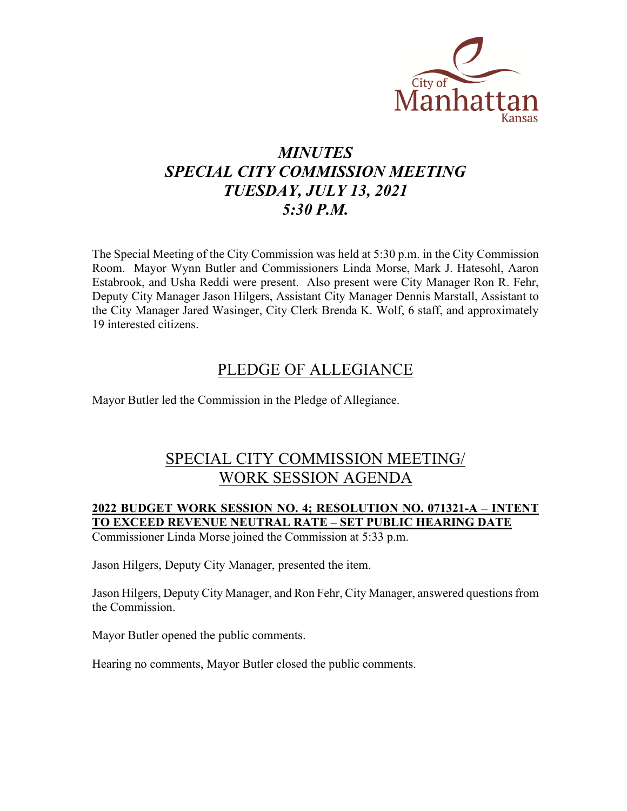

# *MINUTES SPECIAL CITY COMMISSION MEETING TUESDAY, JULY 13, 2021 5:30 P.M.*

The Special Meeting of the City Commission was held at 5:30 p.m. in the City Commission Room. Mayor Wynn Butler and Commissioners Linda Morse, Mark J. Hatesohl, Aaron Estabrook, and Usha Reddi were present. Also present were City Manager Ron R. Fehr, Deputy City Manager Jason Hilgers, Assistant City Manager Dennis Marstall, Assistant to the City Manager Jared Wasinger, City Clerk Brenda K. Wolf, 6 staff, and approximately 19 interested citizens.

### PLEDGE OF ALLEGIANCE

Mayor Butler led the Commission in the Pledge of Allegiance.

### SPECIAL CITY COMMISSION MEETING/ WORK SESSION AGENDA

#### **2022 BUDGET WORK SESSION NO. 4; RESOLUTION NO. 071321-A – INTENT TO EXCEED REVENUE NEUTRAL RATE – SET PUBLIC HEARING DATE** Commissioner Linda Morse joined the Commission at 5:33 p.m.

Jason Hilgers, Deputy City Manager, presented the item.

Jason Hilgers, Deputy City Manager, and Ron Fehr, City Manager, answered questions from the Commission.

Mayor Butler opened the public comments.

Hearing no comments, Mayor Butler closed the public comments.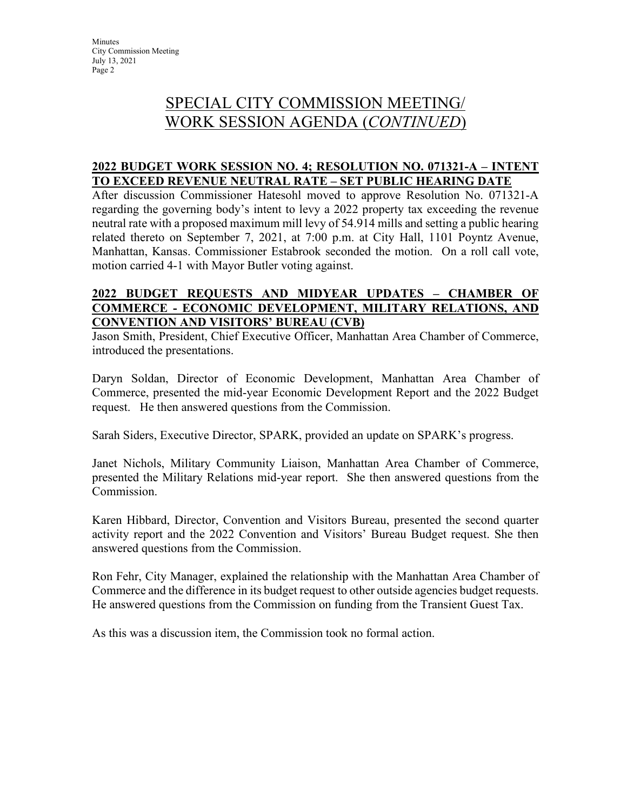# SPECIAL CITY COMMISSION MEETING/ WORK SESSION AGENDA (*CONTINUED*)

### **2022 BUDGET WORK SESSION NO. 4; RESOLUTION NO. 071321-A – INTENT TO EXCEED REVENUE NEUTRAL RATE – SET PUBLIC HEARING DATE**

After discussion Commissioner Hatesohl moved to approve Resolution No. 071321-A regarding the governing body's intent to levy a 2022 property tax exceeding the revenue neutral rate with a proposed maximum mill levy of 54.914 mills and setting a public hearing related thereto on September 7, 2021, at 7:00 p.m. at City Hall, 1101 Poyntz Avenue, Manhattan, Kansas. Commissioner Estabrook seconded the motion. On a roll call vote, motion carried 4-1 with Mayor Butler voting against.

#### **2022 BUDGET REQUESTS AND MIDYEAR UPDATES – CHAMBER OF COMMERCE - ECONOMIC DEVELOPMENT, MILITARY RELATIONS, AND CONVENTION AND VISITORS' BUREAU (CVB)**

Jason Smith, President, Chief Executive Officer, Manhattan Area Chamber of Commerce, introduced the presentations.

Daryn Soldan, Director of Economic Development, Manhattan Area Chamber of Commerce, presented the mid-year Economic Development Report and the 2022 Budget request. He then answered questions from the Commission.

Sarah Siders, Executive Director, SPARK, provided an update on SPARK's progress.

Janet Nichols, Military Community Liaison, Manhattan Area Chamber of Commerce, presented the Military Relations mid-year report. She then answered questions from the Commission.

Karen Hibbard, Director, Convention and Visitors Bureau, presented the second quarter activity report and the 2022 Convention and Visitors' Bureau Budget request. She then answered questions from the Commission.

Ron Fehr, City Manager, explained the relationship with the Manhattan Area Chamber of Commerce and the difference in its budget request to other outside agencies budget requests. He answered questions from the Commission on funding from the Transient Guest Tax.

As this was a discussion item, the Commission took no formal action.